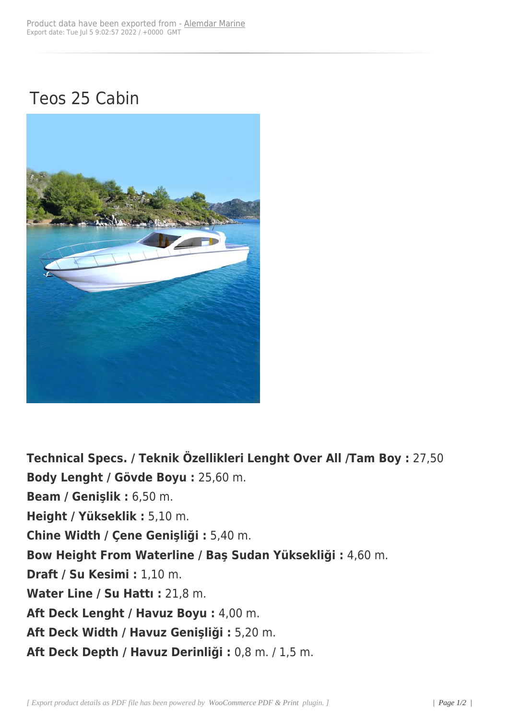## Teos 25 Cabin



**Technical Specs. / Teknik Özellikleri Lenght Over All /Tam Boy :** 27,50 **Body Lenght / Gövde Boyu :** 25,60 m. **Beam / Genişlik :** 6,50 m. **Height / Yükseklik :** 5,10 m. **Chine Width / Çene Genişliği :** 5,40 m. **Bow Height From Waterline / Baş Sudan Yüksekliği :** 4,60 m. **Draft / Su Kesimi :** 1,10 m. **Water Line / Su Hattı :** 21,8 m. **Aft Deck Lenght / Havuz Boyu :** 4,00 m. **Aft Deck Width / Havuz Genişliği :** 5,20 m. **Aft Deck Depth / Havuz Derinliği :** 0,8 m. / 1,5 m.